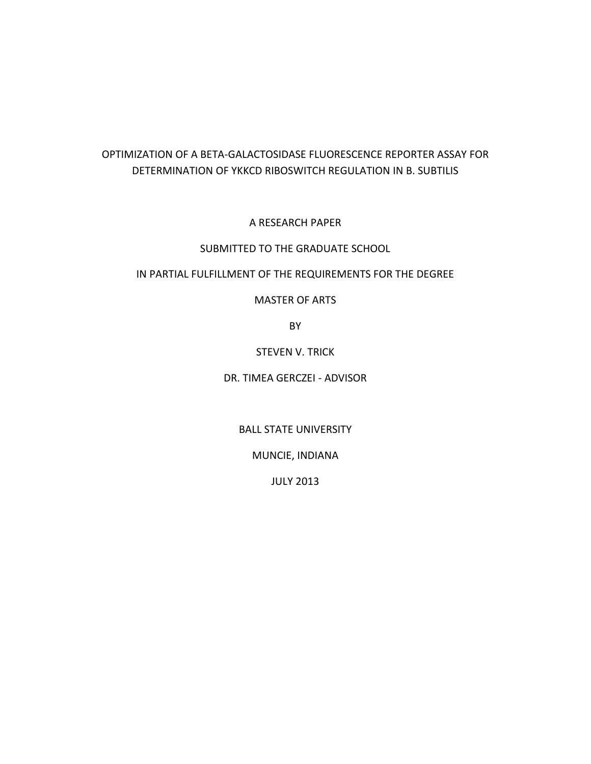# OPTIMIZATION OF A BETA-GALACTOSIDASE FLUORESCENCE REPORTER ASSAY FOR DETERMINATION OF YKKCD RIBOSWITCH REGULATION IN B. SUBTILIS

A RESEARCH PAPER

## SUBMITTED TO THE GRADUATE SCHOOL

### IN PARTIAL FULFILLMENT OF THE REQUIREMENTS FOR THE DEGREE

### MASTER OF ARTS

BY

STEVEN V. TRICK

DR. TIMEA GERCZEI - ADVISOR

BALL STATE UNIVERSITY

MUNCIE, INDIANA

JULY 2013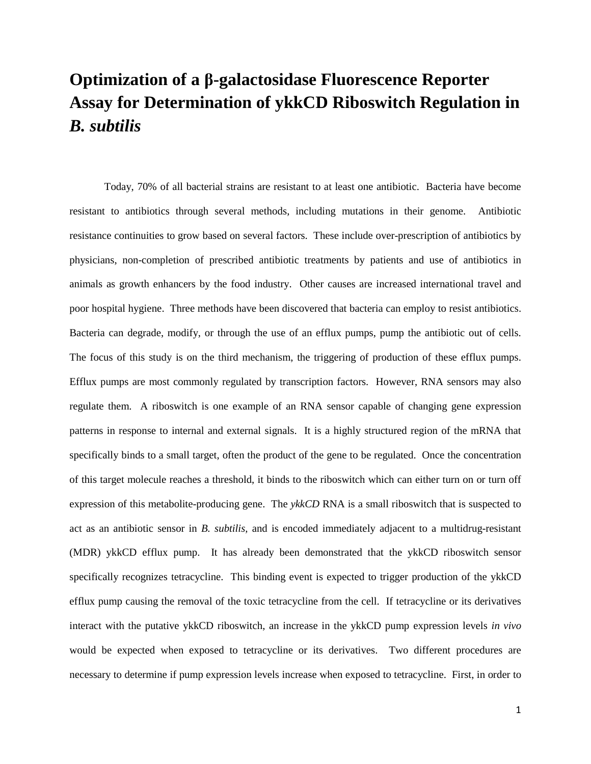# **Optimization of a β-galactosidase Fluorescence Reporter Assay for Determination of ykkCD Riboswitch Regulation in**  *B. subtilis*

Today, 70% of all bacterial strains are resistant to at least one antibiotic. Bacteria have become resistant to antibiotics through several methods, including mutations in their genome. Antibiotic resistance continuities to grow based on several factors. These include over-prescription of antibiotics by physicians, non-completion of prescribed antibiotic treatments by patients and use of antibiotics in animals as growth enhancers by the food industry. Other causes are increased international travel and poor hospital hygiene. Three methods have been discovered that bacteria can employ to resist antibiotics. Bacteria can degrade, modify, or through the use of an efflux pumps, pump the antibiotic out of cells. The focus of this study is on the third mechanism, the triggering of production of these efflux pumps. Efflux pumps are most commonly regulated by transcription factors. However, RNA sensors may also regulate them. A riboswitch is one example of an RNA sensor capable of changing gene expression patterns in response to internal and external signals. It is a highly structured region of the mRNA that specifically binds to a small target, often the product of the gene to be regulated. Once the concentration of this target molecule reaches a threshold, it binds to the riboswitch which can either turn on or turn off expression of this metabolite-producing gene. The *ykkCD* RNA is a small riboswitch that is suspected to act as an antibiotic sensor in *B. subtilis,* and is encoded immediately adjacent to a multidrug-resistant (MDR) ykkCD efflux pump. It has already been demonstrated that the ykkCD riboswitch sensor specifically recognizes tetracycline. This binding event is expected to trigger production of the ykkCD efflux pump causing the removal of the toxic tetracycline from the cell. If tetracycline or its derivatives interact with the putative ykkCD riboswitch, an increase in the ykkCD pump expression levels *in vivo* would be expected when exposed to tetracycline or its derivatives. Two different procedures are necessary to determine if pump expression levels increase when exposed to tetracycline. First, in order to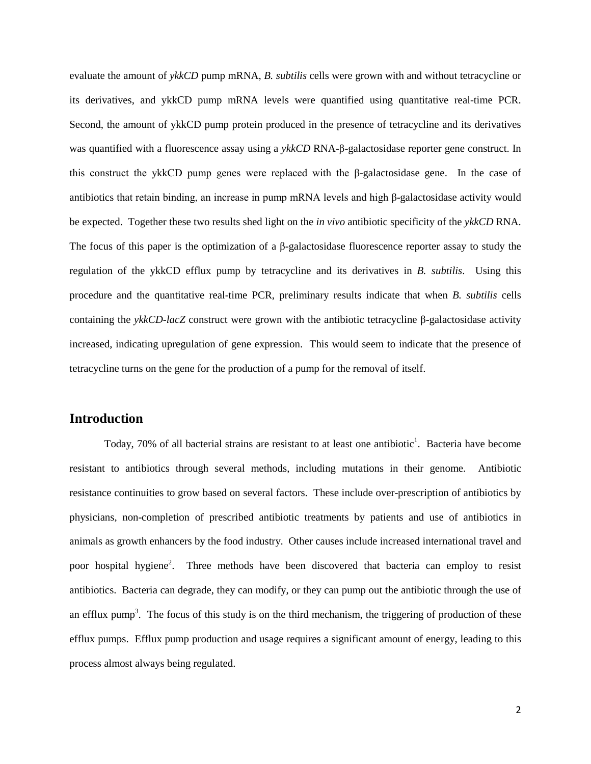evaluate the amount of *ykkCD* pump mRNA, *B. subtilis* cells were grown with and without tetracycline or its derivatives, and ykkCD pump mRNA levels were quantified using quantitative real-time PCR. Second, the amount of ykkCD pump protein produced in the presence of tetracycline and its derivatives was quantified with a fluorescence assay using a *ykkCD* RNA-β-galactosidase reporter gene construct. In this construct the ykkCD pump genes were replaced with the β-galactosidase gene. In the case of antibiotics that retain binding, an increase in pump mRNA levels and high β-galactosidase activity would be expected. Together these two results shed light on the *in vivo* antibiotic specificity of the *ykkCD* RNA. The focus of this paper is the optimization of a β-galactosidase fluorescence reporter assay to study the regulation of the ykkCD efflux pump by tetracycline and its derivatives in *B. subtilis*. Using this procedure and the quantitative real-time PCR, preliminary results indicate that when *B. subtilis* cells containing the *ykkCD-lacZ* construct were grown with the antibiotic tetracycline β-galactosidase activity increased, indicating upregulation of gene expression. This would seem to indicate that the presence of tetracycline turns on the gene for the production of a pump for the removal of itself.

## **Introduction**

Today, 70% of all bacterial strains are resistant to at least one antibiotic<sup>1</sup>. Bacteria have become resistant to antibiotics through several methods, including mutations in their genome. Antibiotic resistance continuities to grow based on several factors. These include over-prescription of antibiotics by physicians, non-completion of prescribed antibiotic treatments by patients and use of antibiotics in animals as growth enhancers by the food industry. Other causes include increased international travel and poor hospital hygiene<sup>2</sup>. Three methods have been discovered that bacteria can employ to resist antibiotics. Bacteria can degrade, they can modify, or they can pump out the antibiotic through the use of an efflux pump<sup>3</sup>. The focus of this study is on the third mechanism, the triggering of production of these efflux pumps. Efflux pump production and usage requires a significant amount of energy, leading to this process almost always being regulated.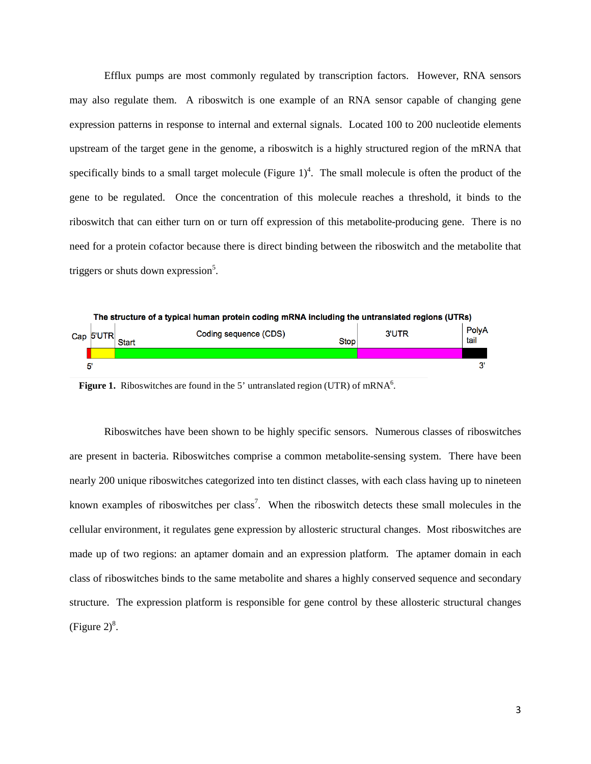Efflux pumps are most commonly regulated by transcription factors. However, RNA sensors may also regulate them. A riboswitch is one example of an RNA sensor capable of changing gene expression patterns in response to internal and external signals. Located 100 to 200 nucleotide elements upstream of the target gene in the genome, a riboswitch is a highly structured region of the mRNA that specifically binds to a small target molecule (Figure  $1)^4$ . The small molecule is often the product of the gene to be regulated. Once the concentration of this molecule reaches a threshold, it binds to the riboswitch that can either turn on or turn off expression of this metabolite-producing gene. There is no need for a protein cofactor because there is direct binding between the riboswitch and the metabolite that triggers or shuts down expression<sup>5</sup>.



Figure 1. Riboswitches are found in the 5' untranslated region (UTR) of mRNA<sup>6</sup>.

Riboswitches have been shown to be highly specific sensors. Numerous classes of riboswitches are present in bacteria. Riboswitches comprise a common metabolite-sensing system. There have been nearly 200 unique riboswitches categorized into ten distinct classes, with each class having up to nineteen known examples of riboswitches per class<sup>7</sup>. When the riboswitch detects these small molecules in the cellular environment, it regulates gene expression by allosteric structural changes. Most riboswitches are made up of two regions: an aptamer domain and an expression platform. The aptamer domain in each class of riboswitches binds to the same metabolite and shares a highly conserved sequence and secondary structure. The expression platform is responsible for gene control by these allosteric structural changes (Figure  $2)^8$ .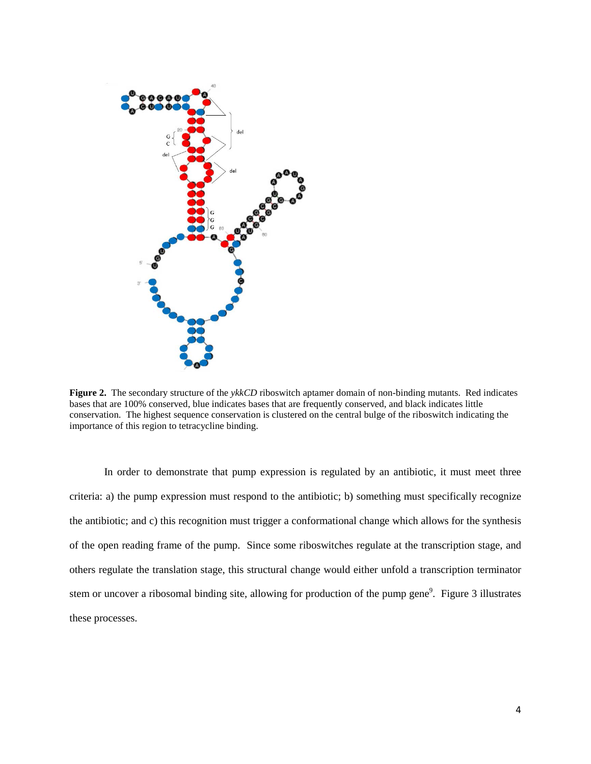

**Figure 2.** The secondary structure of the *ykkCD* riboswitch aptamer domain of non-binding mutants. Red indicates bases that are 100% conserved, blue indicates bases that are frequently conserved, and black indicates little conservation.The highest sequence conservation is clustered on the central bulge of the riboswitch indicating the importance of this region to tetracycline binding.

In order to demonstrate that pump expression is regulated by an antibiotic, it must meet three criteria: a) the pump expression must respond to the antibiotic; b) something must specifically recognize the antibiotic; and c) this recognition must trigger a conformational change which allows for the synthesis of the open reading frame of the pump. Since some riboswitches regulate at the transcription stage, and others regulate the translation stage, this structural change would either unfold a transcription terminator stem or uncover a ribosomal binding site, allowing for production of the pump gene<sup>9</sup>. Figure 3 illustrates these processes.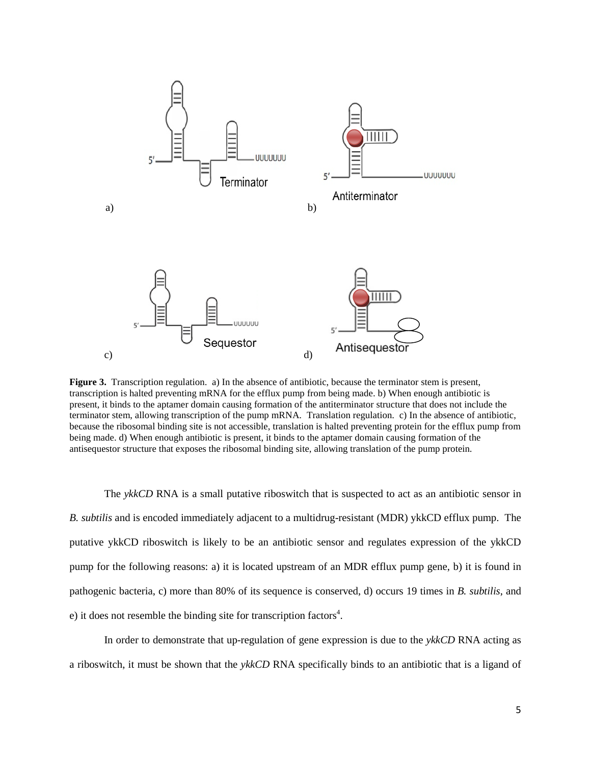

**Figure 3.** Transcription regulation. a) In the absence of antibiotic, because the terminator stem is present, transcription is halted preventing mRNA for the efflux pump from being made. b) When enough antibiotic is present, it binds to the aptamer domain causing formation of the antiterminator structure that does not include the terminator stem, allowing transcription of the pump mRNA. Translation regulation. c) In the absence of antibiotic, because the ribosomal binding site is not accessible, translation is halted preventing protein for the efflux pump from being made. d) When enough antibiotic is present, it binds to the aptamer domain causing formation of the antisequestor structure that exposes the ribosomal binding site, allowing translation of the pump protein.

The *ykkCD* RNA is a small putative riboswitch that is suspected to act as an antibiotic sensor in *B. subtilis* and is encoded immediately adjacent to a multidrug-resistant (MDR) ykkCD efflux pump. The putative ykkCD riboswitch is likely to be an antibiotic sensor and regulates expression of the ykkCD pump for the following reasons: a) it is located upstream of an MDR efflux pump gene, b) it is found in pathogenic bacteria, c) more than 80% of its sequence is conserved, d) occurs 19 times in *B. subtilis*, and e) it does not resemble the binding site for transcription factors<sup>4</sup>.

In order to demonstrate that up-regulation of gene expression is due to the *ykkCD* RNA acting as a riboswitch, it must be shown that the *ykkCD* RNA specifically binds to an antibiotic that is a ligand of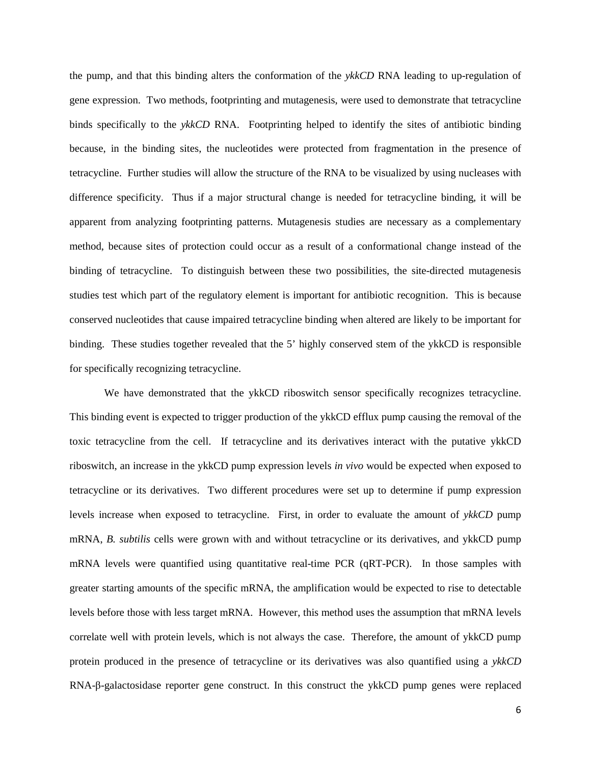the pump, and that this binding alters the conformation of the *ykkCD* RNA leading to up-regulation of gene expression. Two methods, footprinting and mutagenesis, were used to demonstrate that tetracycline binds specifically to the *ykkCD* RNA. Footprinting helped to identify the sites of antibiotic binding because, in the binding sites, the nucleotides were protected from fragmentation in the presence of tetracycline. Further studies will allow the structure of the RNA to be visualized by using nucleases with difference specificity. Thus if a major structural change is needed for tetracycline binding, it will be apparent from analyzing footprinting patterns. Mutagenesis studies are necessary as a complementary method, because sites of protection could occur as a result of a conformational change instead of the binding of tetracycline. To distinguish between these two possibilities, the site-directed mutagenesis studies test which part of the regulatory element is important for antibiotic recognition. This is because conserved nucleotides that cause impaired tetracycline binding when altered are likely to be important for binding. These studies together revealed that the 5' highly conserved stem of the ykkCD is responsible for specifically recognizing tetracycline.

We have demonstrated that the ykkCD riboswitch sensor specifically recognizes tetracycline. This binding event is expected to trigger production of the ykkCD efflux pump causing the removal of the toxic tetracycline from the cell. If tetracycline and its derivatives interact with the putative ykkCD riboswitch, an increase in the ykkCD pump expression levels *in vivo* would be expected when exposed to tetracycline or its derivatives. Two different procedures were set up to determine if pump expression levels increase when exposed to tetracycline. First, in order to evaluate the amount of *ykkCD* pump mRNA, *B. subtilis* cells were grown with and without tetracycline or its derivatives, and ykkCD pump mRNA levels were quantified using quantitative real-time PCR (qRT-PCR). In those samples with greater starting amounts of the specific mRNA, the amplification would be expected to rise to detectable levels before those with less target mRNA. However, this method uses the assumption that mRNA levels correlate well with protein levels, which is not always the case. Therefore, the amount of ykkCD pump protein produced in the presence of tetracycline or its derivatives was also quantified using a *ykkCD* RNA-β-galactosidase reporter gene construct. In this construct the ykkCD pump genes were replaced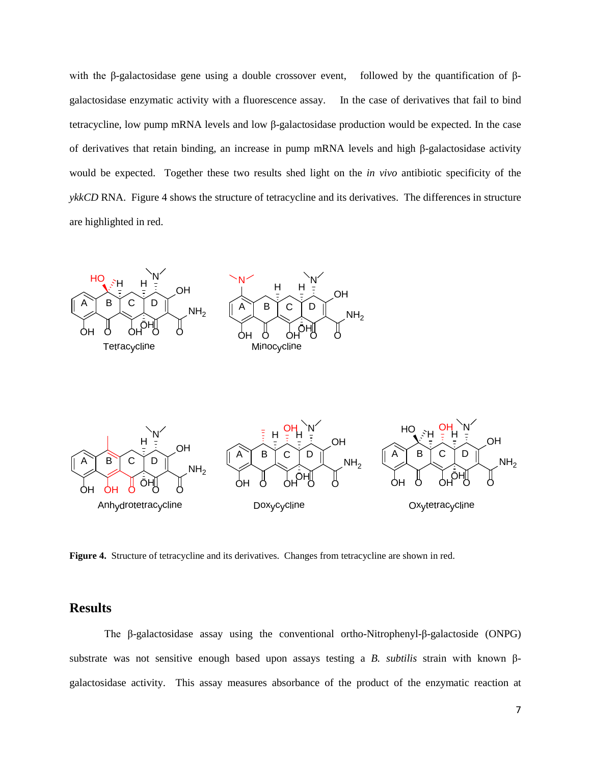with the β-galactosidase gene using a double crossover event, followed by the quantification of βgalactosidase enzymatic activity with a fluorescence assay. In the case of derivatives that fail to bind tetracycline, low pump mRNA levels and low β-galactosidase production would be expected. In the case of derivatives that retain binding, an increase in pump mRNA levels and high β-galactosidase activity would be expected. Together these two results shed light on the *in vivo* antibiotic specificity of the *ykkCD* RNA. Figure 4 shows the structure of tetracycline and its derivatives. The differences in structure are highlighted in red.



**Figure 4.** Structure of tetracycline and its derivatives. Changes from tetracycline are shown in red.

## **Results**

The β-galactosidase assay using the conventional ortho-Nitrophenyl-β-galactoside (ONPG) substrate was not sensitive enough based upon assays testing a *B. subtilis* strain with known βgalactosidase activity. This assay measures absorbance of the product of the enzymatic reaction at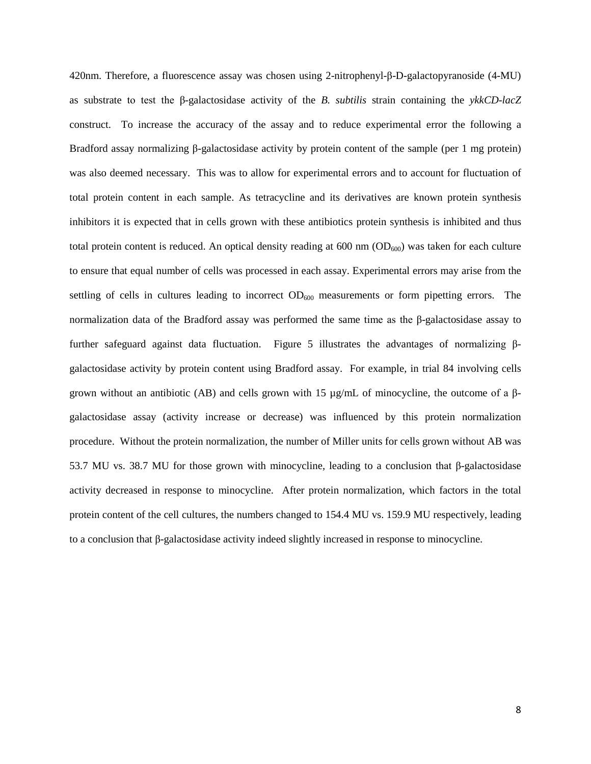420nm. Therefore, a fluorescence assay was chosen using 2-nitrophenyl-β-D-galactopyranoside (4-MU) as substrate to test the β-galactosidase activity of the *B. subtilis* strain containing the *ykkCD-lacZ* construct. To increase the accuracy of the assay and to reduce experimental error the following a Bradford assay normalizing β-galactosidase activity by protein content of the sample (per 1 mg protein) was also deemed necessary. This was to allow for experimental errors and to account for fluctuation of total protein content in each sample. As tetracycline and its derivatives are known protein synthesis inhibitors it is expected that in cells grown with these antibiotics protein synthesis is inhibited and thus total protein content is reduced. An optical density reading at  $600$  nm  $(OD_{600})$  was taken for each culture to ensure that equal number of cells was processed in each assay. Experimental errors may arise from the settling of cells in cultures leading to incorrect OD<sub>600</sub> measurements or form pipetting errors. The normalization data of the Bradford assay was performed the same time as the β-galactosidase assay to further safeguard against data fluctuation. Figure 5 illustrates the advantages of normalizing βgalactosidase activity by protein content using Bradford assay. For example, in trial 84 involving cells grown without an antibiotic (AB) and cells grown with 15  $\mu$ g/mL of minocycline, the outcome of a βgalactosidase assay (activity increase or decrease) was influenced by this protein normalization procedure. Without the protein normalization, the number of Miller units for cells grown without AB was 53.7 MU vs. 38.7 MU for those grown with minocycline, leading to a conclusion that β-galactosidase activity decreased in response to minocycline. After protein normalization, which factors in the total protein content of the cell cultures, the numbers changed to 154.4 MU vs. 159.9 MU respectively, leading to a conclusion that β-galactosidase activity indeed slightly increased in response to minocycline.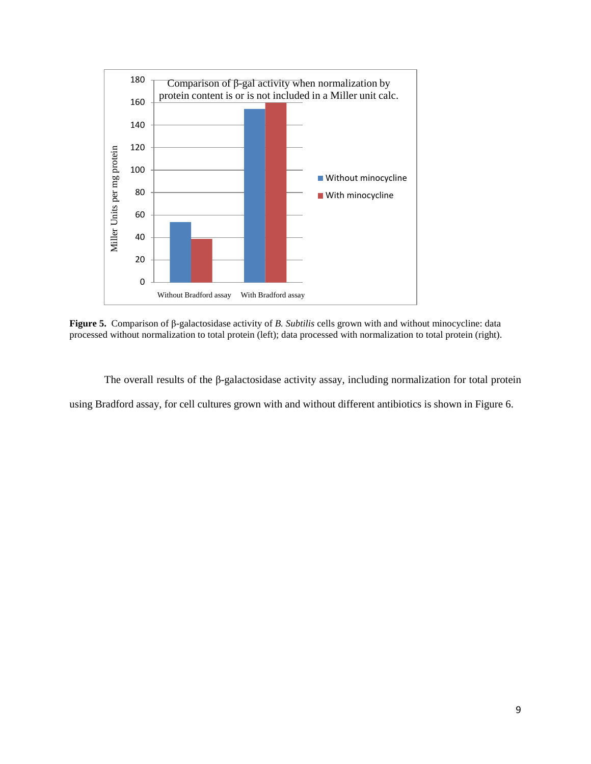

**Figure 5.** Comparison of β-galactosidase activity of *B. Subtilis* cells grown with and without minocycline: data processed without normalization to total protein (left); data processed with normalization to total protein (right).

The overall results of the β-galactosidase activity assay, including normalization for total protein using Bradford assay, for cell cultures grown with and without different antibiotics is shown in Figure 6.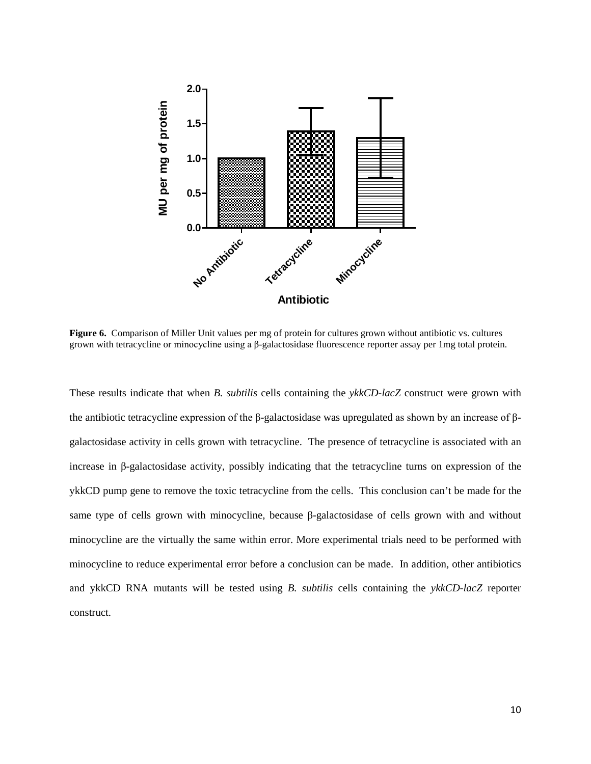

**Figure 6.** Comparison of Miller Unit values per mg of protein for cultures grown without antibiotic vs. cultures grown with tetracycline or minocycline using a β-galactosidase fluorescence reporter assay per 1mg total protein.

These results indicate that when *B. subtilis* cells containing the *ykkCD-lacZ* construct were grown with the antibiotic tetracycline expression of the β-galactosidase was upregulated as shown by an increase of βgalactosidase activity in cells grown with tetracycline. The presence of tetracycline is associated with an increase in β-galactosidase activity, possibly indicating that the tetracycline turns on expression of the ykkCD pump gene to remove the toxic tetracycline from the cells. This conclusion can't be made for the same type of cells grown with minocycline, because β-galactosidase of cells grown with and without minocycline are the virtually the same within error. More experimental trials need to be performed with minocycline to reduce experimental error before a conclusion can be made. In addition, other antibiotics and ykkCD RNA mutants will be tested using *B. subtilis* cells containing the *ykkCD-lacZ* reporter construct.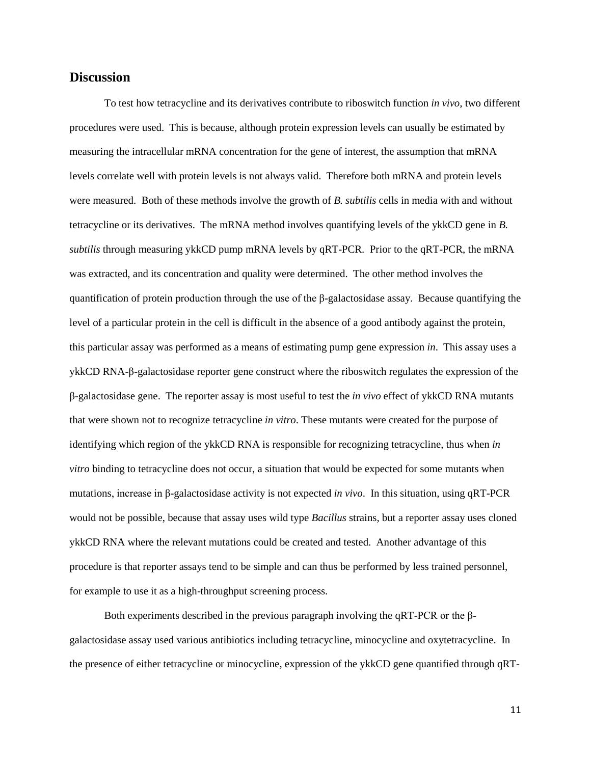### **Discussion**

To test how tetracycline and its derivatives contribute to riboswitch function *in vivo,* two different procedures were used. This is because, although protein expression levels can usually be estimated by measuring the intracellular mRNA concentration for the gene of interest, the assumption that mRNA levels correlate well with protein levels is not always valid. Therefore both mRNA and protein levels were measured. Both of these methods involve the growth of *B. subtilis* cells in media with and without tetracycline or its derivatives. The mRNA method involves quantifying levels of the ykkCD gene in *B. subtilis* through measuring ykkCD pump mRNA levels by qRT-PCR. Prior to the qRT-PCR, the mRNA was extracted, and its concentration and quality were determined. The other method involves the quantification of protein production through the use of the β-galactosidase assay. Because quantifying the level of a particular protein in the cell is difficult in the absence of a good antibody against the protein, this particular assay was performed as a means of estimating pump gene expression *in*. This assay uses a ykkCD RNA-β-galactosidase reporter gene construct where the riboswitch regulates the expression of the β-galactosidase gene. The reporter assay is most useful to test the *in vivo* effect of ykkCD RNA mutants that were shown not to recognize tetracycline *in vitro*. These mutants were created for the purpose of identifying which region of the ykkCD RNA is responsible for recognizing tetracycline, thus when *in vitro* binding to tetracycline does not occur, a situation that would be expected for some mutants when mutations, increase in β-galactosidase activity is not expected *in vivo*. In this situation, using qRT-PCR would not be possible, because that assay uses wild type *Bacillus* strains, but a reporter assay uses cloned ykkCD RNA where the relevant mutations could be created and tested. Another advantage of this procedure is that reporter assays tend to be simple and can thus be performed by less trained personnel, for example to use it as a high-throughput screening process.

Both experiments described in the previous paragraph involving the qRT-PCR or the βgalactosidase assay used various antibiotics including tetracycline, minocycline and oxytetracycline. In the presence of either tetracycline or minocycline, expression of the ykkCD gene quantified through qRT-

11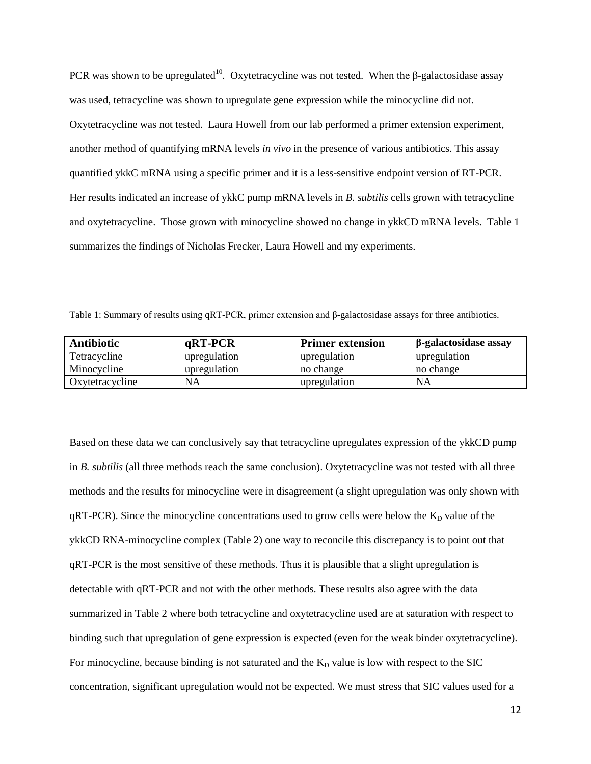PCR was shown to be upregulated<sup>10</sup>. Oxytetracycline was not tested. When the β-galactosidase assay was used, tetracycline was shown to upregulate gene expression while the minocycline did not. Oxytetracycline was not tested. Laura Howell from our lab performed a primer extension experiment, another method of quantifying mRNA levels *in vivo* in the presence of various antibiotics. This assay quantified ykkC mRNA using a specific primer and it is a less-sensitive endpoint version of RT-PCR. Her results indicated an increase of ykkC pump mRNA levels in *B. subtilis* cells grown with tetracycline and oxytetracycline. Those grown with minocycline showed no change in ykkCD mRNA levels. Table 1 summarizes the findings of Nicholas Frecker, Laura Howell and my experiments.

Table 1: Summary of results using qRT-PCR, primer extension and β-galactosidase assays for three antibiotics.

| <b>Antibiotic</b> | $qRT-PCR$    | <b>Primer extension</b> | β-galactosidase assay |
|-------------------|--------------|-------------------------|-----------------------|
| Tetracycline      | upregulation | upregulation            | upregulation          |
| Minocycline       | upregulation | no change               | no change             |
| Oxytetracycline   | <b>NA</b>    | upregulation            | <b>NA</b>             |

Based on these data we can conclusively say that tetracycline upregulates expression of the ykkCD pump in *B. subtilis* (all three methods reach the same conclusion). Oxytetracycline was not tested with all three methods and the results for minocycline were in disagreement (a slight upregulation was only shown with  $qRT-PCR$ ). Since the minocycline concentrations used to grow cells were below the  $K<sub>D</sub>$  value of the ykkCD RNA-minocycline complex (Table 2) one way to reconcile this discrepancy is to point out that qRT-PCR is the most sensitive of these methods. Thus it is plausible that a slight upregulation is detectable with qRT-PCR and not with the other methods. These results also agree with the data summarized in Table 2 where both tetracycline and oxytetracycline used are at saturation with respect to binding such that upregulation of gene expression is expected (even for the weak binder oxytetracycline). For minocycline, because binding is not saturated and the  $K_D$  value is low with respect to the SIC concentration, significant upregulation would not be expected. We must stress that SIC values used for a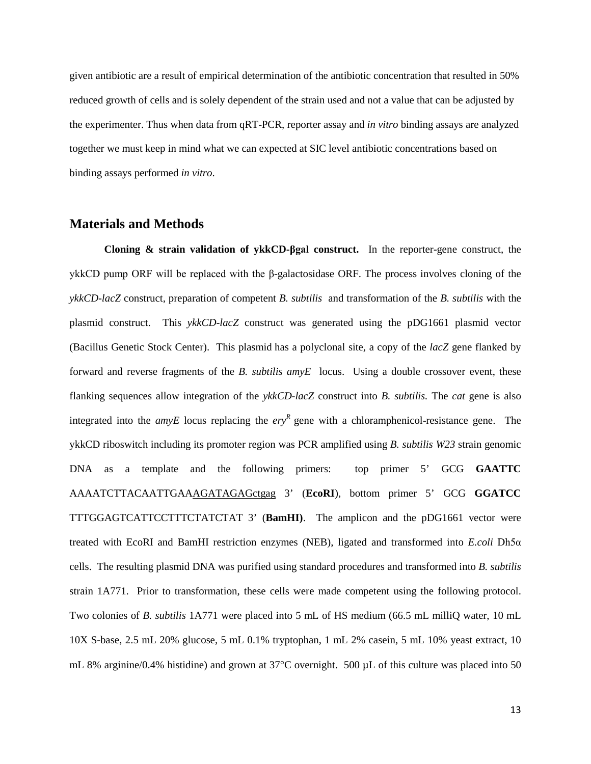given antibiotic are a result of empirical determination of the antibiotic concentration that resulted in 50% reduced growth of cells and is solely dependent of the strain used and not a value that can be adjusted by the experimenter. Thus when data from qRT-PCR, reporter assay and *in vitro* binding assays are analyzed together we must keep in mind what we can expected at SIC level antibiotic concentrations based on binding assays performed *in vitro*.

#### **Materials and Methods**

**Cloning & strain validation of ykkCD-βgal construct.** In the reporter-gene construct, the ykkCD pump ORF will be replaced with the β-galactosidase ORF. The process involves cloning of the *ykkCD-lacZ* construct, preparation of competent *B. subtilis* and transformation of the *B. subtilis* with the plasmid construct. This *ykkCD-lacZ* construct was generated using the pDG1661 plasmid vector (Bacillus Genetic Stock Center). This plasmid has a polyclonal site, a copy of the *lacZ* gene flanked by forward and reverse fragments of the *B. subtilis amyE* locus. Using a double crossover event, these flanking sequences allow integration of the *ykkCD-lacZ* construct into *B. subtilis.* The *cat* gene is also integrated into the *amyE* locus replacing the  $e^{ryR}$  gene with a chloramphenicol-resistance gene. The ykkCD riboswitch including its promoter region was PCR amplified using *B. subtilis W23* strain genomic DNA as a template and the following primers: top primer 5' GCG **GAATTC** AAAATCTTACAATTGAAAGATAGAGctgag 3' (**EcoRI**), bottom primer 5' GCG **GGATCC** TTTGGAGTCATTCCTTTCTATCTAT 3' (**BamHI)**. The amplicon and the pDG1661 vector were treated with EcoRI and BamHI restriction enzymes (NEB), ligated and transformed into *E.coli* Dh5α cells. The resulting plasmid DNA was purified using standard procedures and transformed into *B. subtilis*  strain 1A771. Prior to transformation, these cells were made competent using the following protocol. Two colonies of *B. subtilis* 1A771 were placed into 5 mL of HS medium (66.5 mL milliQ water, 10 mL 10X S-base, 2.5 mL 20% glucose, 5 mL 0.1% tryptophan, 1 mL 2% casein, 5 mL 10% yeast extract, 10 mL 8% arginine/0.4% histidine) and grown at 37°C overnight. 500 µL of this culture was placed into 50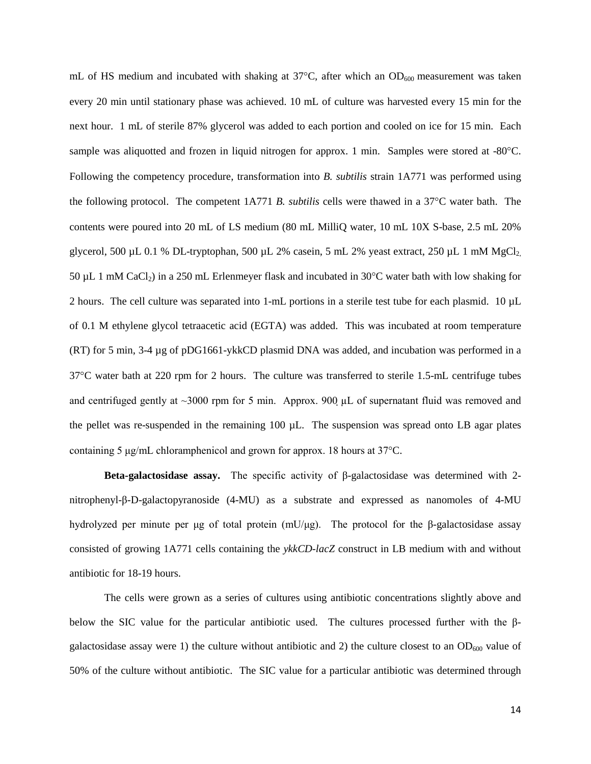mL of HS medium and incubated with shaking at  $37^{\circ}$ C, after which an OD<sub>600</sub> measurement was taken every 20 min until stationary phase was achieved. 10 mL of culture was harvested every 15 min for the next hour. 1 mL of sterile 87% glycerol was added to each portion and cooled on ice for 15 min. Each sample was aliquotted and frozen in liquid nitrogen for approx. 1 min. Samples were stored at -80°C. Following the competency procedure, transformation into *B. subtilis* strain 1A771 was performed using the following protocol. The competent 1A771 *B. subtilis* cells were thawed in a 37°C water bath. The contents were poured into 20 mL of LS medium (80 mL MilliQ water, 10 mL 10X S-base, 2.5 mL 20% glycerol, 500 µL 0.1 % DL-tryptophan, 500 µL 2% casein, 5 mL 2% yeast extract, 250 µL 1 mM MgCl<sub>2</sub> 50  $\mu$ L 1 mM CaCl<sub>2</sub>) in a 250 mL Erlenmeyer flask and incubated in 30 $\degree$ C water bath with low shaking for 2 hours. The cell culture was separated into 1-mL portions in a sterile test tube for each plasmid. 10 µL of 0.1 M ethylene glycol tetraacetic acid (EGTA) was added. This was incubated at room temperature (RT) for 5 min, 3-4 µg of pDG1661-ykkCD plasmid DNA was added, and incubation was performed in a 37°C water bath at 220 rpm for 2 hours. The culture was transferred to sterile 1.5-mL centrifuge tubes and centrifuged gently at  $\sim$ 3000 rpm for 5 min. Approx. 900  $\mu$ L of supernatant fluid was removed and the pellet was re-suspended in the remaining 100 µL. The suspension was spread onto LB agar plates containing 5 μg/mL chloramphenicol and grown for approx. 18 hours at 37°C.

**Beta-galactosidase assay.** The specific activity of β-galactosidase was determined with 2 nitrophenyl-β-D-galactopyranoside (4-MU) as a substrate and expressed as nanomoles of 4-MU hydrolyzed per minute per μg of total protein (mU/μg). The protocol for the β-galactosidase assay consisted of growing 1A771 cells containing the *ykkCD-lacZ* construct in LB medium with and without antibiotic for 18-19 hours.

The cells were grown as a series of cultures using antibiotic concentrations slightly above and below the SIC value for the particular antibiotic used. The cultures processed further with the βgalactosidase assay were 1) the culture without antibiotic and 2) the culture closest to an  $OD_{600}$  value of 50% of the culture without antibiotic. The SIC value for a particular antibiotic was determined through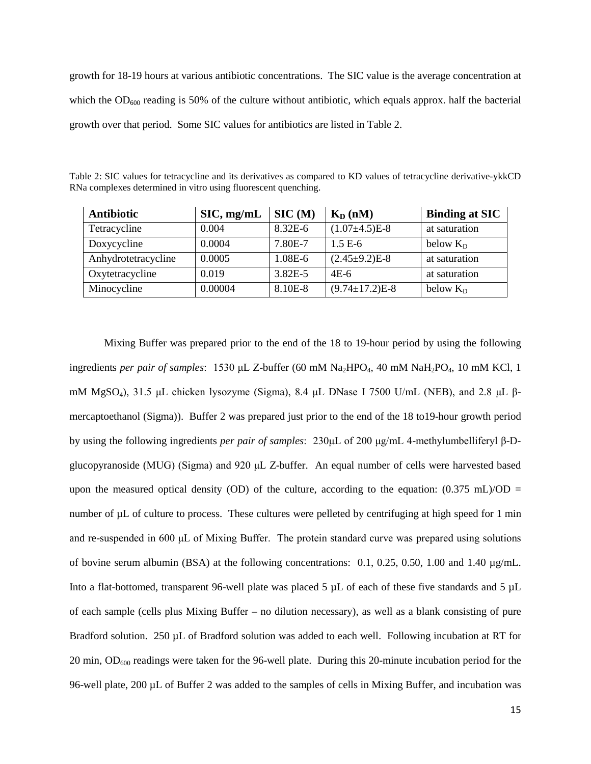growth for 18-19 hours at various antibiotic concentrations. The SIC value is the average concentration at which the  $OD_{600}$  reading is 50% of the culture without antibiotic, which equals approx. half the bacterial growth over that period. Some SIC values for antibiotics are listed in Table 2.

| <b>Antibiotic</b>   | $\text{SIC}, \text{mg/mL}$ | SIC(M)      | $K_D(nM)$            | <b>Binding at SIC</b> |
|---------------------|----------------------------|-------------|----------------------|-----------------------|
| Tetracycline        | 0.004                      | 8.32E-6     | $(1.07\pm4.5)E-8$    | at saturation         |
| Doxycycline         | 0.0004                     | 7.80E-7     | $1.5 E-6$            | below $K_D$           |
| Anhydrotetracycline | 0.0005                     | 1.08E-6     | $(2.45\pm9.2)E-8$    | at saturation         |
| Oxytetracycline     | 0.019                      | $3.82E - 5$ | $4E-6$               | at saturation         |
| Minocycline         | 0.00004                    | 8.10E-8     | $(9.74 \pm 17.2)E-8$ | below $K_D$           |

Table 2: SIC values for tetracycline and its derivatives as compared to KD values of tetracycline derivative-ykkCD RNa complexes determined in vitro using fluorescent quenching.

Mixing Buffer was prepared prior to the end of the 18 to 19-hour period by using the following ingredients *per pair of samples*: 1530 μL Z-buffer (60 mM Na<sub>2</sub>HPO<sub>4</sub>, 40 mM NaH<sub>2</sub>PO<sub>4</sub>, 10 mM KCl, 1 mM MgSO<sub>4</sub>), 31.5 μL chicken lysozyme (Sigma), 8.4 μL DNase I 7500 U/mL (NEB), and 2.8 μL βmercaptoethanol (Sigma)). Buffer 2 was prepared just prior to the end of the 18 to19-hour growth period by using the following ingredients *per pair of samples*: 230μL of 200 μg/mL 4-methylumbelliferyl β-Dglucopyranoside (MUG) (Sigma) and 920 μL Z-buffer. An equal number of cells were harvested based upon the measured optical density (OD) of the culture, according to the equation:  $(0.375 \text{ mL})/OD =$ number of  $\mu$ L of culture to process. These cultures were pelleted by centrifuging at high speed for 1 min and re-suspended in 600 μL of Mixing Buffer. The protein standard curve was prepared using solutions of bovine serum albumin (BSA) at the following concentrations: 0.1, 0.25, 0.50, 1.00 and 1.40 µg/mL. Into a flat-bottomed, transparent 96-well plate was placed 5 µL of each of these five standards and 5 µL of each sample (cells plus Mixing Buffer – no dilution necessary), as well as a blank consisting of pure Bradford solution. 250 µL of Bradford solution was added to each well. Following incubation at RT for 20 min, OD600 readings were taken for the 96-well plate. During this 20-minute incubation period for the 96-well plate, 200 µL of Buffer 2 was added to the samples of cells in Mixing Buffer, and incubation was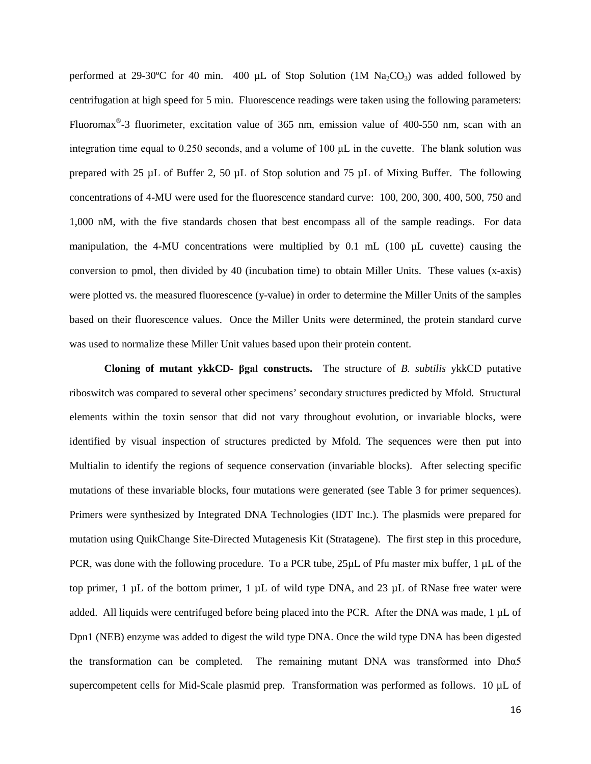performed at 29-30°C for 40 min. 400 µL of Stop Solution (1M  $Na_2CO_3$ ) was added followed by centrifugation at high speed for 5 min. Fluorescence readings were taken using the following parameters: Fluoromax®-3 fluorimeter, excitation value of 365 nm, emission value of 400-550 nm, scan with an integration time equal to 0.250 seconds, and a volume of 100 μL in the cuvette. The blank solution was prepared with 25 µL of Buffer 2, 50 µL of Stop solution and 75 µL of Mixing Buffer. The following concentrations of 4-MU were used for the fluorescence standard curve: 100, 200, 300, 400, 500, 750 and 1,000 nM, with the five standards chosen that best encompass all of the sample readings. For data manipulation, the 4-MU concentrations were multiplied by  $0.1$  mL  $(100 \mu L$  cuvette) causing the conversion to pmol, then divided by 40 (incubation time) to obtain Miller Units. These values (x-axis) were plotted vs. the measured fluorescence (y-value) in order to determine the Miller Units of the samples based on their fluorescence values. Once the Miller Units were determined, the protein standard curve was used to normalize these Miller Unit values based upon their protein content.

**Cloning of mutant ykkCD- βgal constructs.** The structure of *B. subtilis* ykkCD putative riboswitch was compared to several other specimens' secondary structures predicted by Mfold. Structural elements within the toxin sensor that did not vary throughout evolution, or invariable blocks, were identified by visual inspection of structures predicted by Mfold. The sequences were then put into Multialin to identify the regions of sequence conservation (invariable blocks). After selecting specific mutations of these invariable blocks, four mutations were generated (see Table 3 for primer sequences). Primers were synthesized by Integrated DNA Technologies (IDT Inc.). The plasmids were prepared for mutation using QuikChange Site-Directed Mutagenesis Kit (Stratagene). The first step in this procedure, PCR, was done with the following procedure. To a PCR tube, 25µL of Pfu master mix buffer, 1 µL of the top primer, 1  $\mu$ L of the bottom primer, 1  $\mu$ L of wild type DNA, and 23  $\mu$ L of RNase free water were added. All liquids were centrifuged before being placed into the PCR. After the DNA was made, 1 µL of Dpn1 (NEB) enzyme was added to digest the wild type DNA. Once the wild type DNA has been digested the transformation can be completed. The remaining mutant DNA was transformed into Dhα5 supercompetent cells for Mid-Scale plasmid prep. Transformation was performed as follows. 10 µL of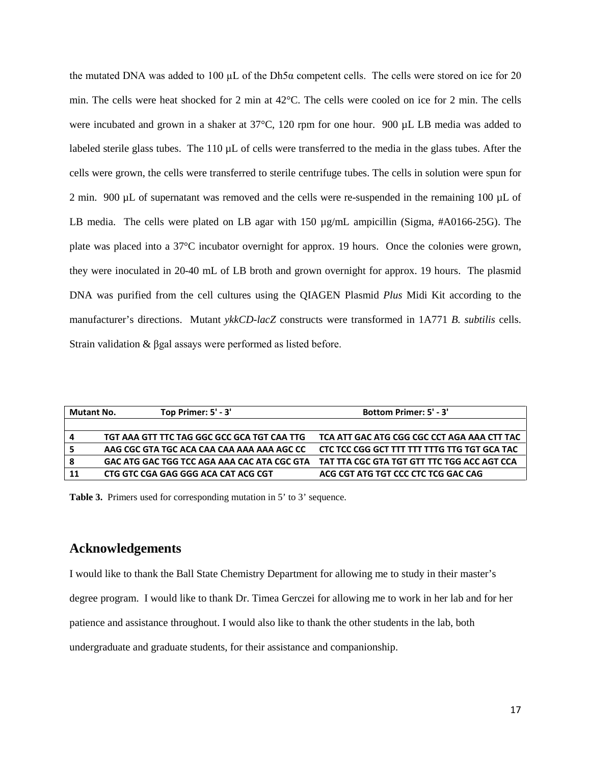the mutated DNA was added to 100 µL of the Dh5 $\alpha$  competent cells. The cells were stored on ice for 20 min. The cells were heat shocked for 2 min at 42°C. The cells were cooled on ice for 2 min. The cells were incubated and grown in a shaker at 37<sup>o</sup>C, 120 rpm for one hour. 900 µL LB media was added to labeled sterile glass tubes. The 110  $\mu$ L of cells were transferred to the media in the glass tubes. After the cells were grown, the cells were transferred to sterile centrifuge tubes. The cells in solution were spun for 2 min. 900 µL of supernatant was removed and the cells were re-suspended in the remaining 100 µL of LB media. The cells were plated on LB agar with 150 µg/mL ampicillin (Sigma, #A0166-25G). The plate was placed into a 37°C incubator overnight for approx. 19 hours. Once the colonies were grown, they were inoculated in 20-40 mL of LB broth and grown overnight for approx. 19 hours. The plasmid DNA was purified from the cell cultures using the QIAGEN Plasmid *Plus* Midi Kit according to the manufacturer's directions. Mutant *ykkCD-lacZ* constructs were transformed in 1A771 *B. subtilis* cells. Strain validation & βgal assays were performed as listed before.

| <b>Mutant No.</b> | Top Primer: 5' - 3'                         | <b>Bottom Primer: 5' - 3'</b>                |
|-------------------|---------------------------------------------|----------------------------------------------|
|                   |                                             |                                              |
| 4                 | TGT AAA GTT TTC TAG GGC GCC GCA TGT CAA TTG | TCA ATT GAC ATG CGG CGC CCT AGA AAA CTT TAC  |
|                   | AAG CGC GTA TGC ACA CAA CAA AAA AAA AGC CC  | CTC TCC CGG GCT TTT TTT TTTG TTG TGT GCA TAC |
| -8                | GAC ATG GAC TGG TCC AGA AAA CAC ATA CGC GTA | TAT TTA CGC GTA TGT GTT TTC TGG ACC AGT CCA  |
| 11                | CTG GTC CGA GAG GGG ACA CAT ACG CGT         | ACG CGT ATG TGT CCC CTC TCG GAC CAG          |

**Table 3.** Primers used for corresponding mutation in 5' to 3' sequence.

## **Acknowledgements**

I would like to thank the Ball State Chemistry Department for allowing me to study in their master's

degree program. I would like to thank Dr. Timea Gerczei for allowing me to work in her lab and for her

patience and assistance throughout. I would also like to thank the other students in the lab, both

undergraduate and graduate students, for their assistance and companionship.